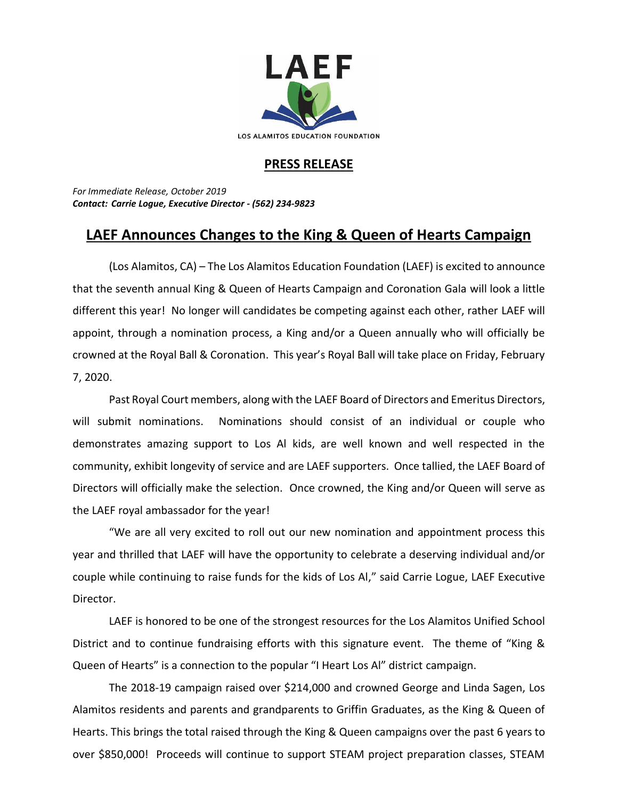

## **PRESS RELEASE**

*For Immediate Release, October 2019 Contact: Carrie Logue, Executive Director - (562) 234-9823*

## **LAEF Announces Changes to the King & Queen of Hearts Campaign**

(Los Alamitos, CA) – The Los Alamitos Education Foundation (LAEF) is excited to announce that the seventh annual King & Queen of Hearts Campaign and Coronation Gala will look a little different this year! No longer will candidates be competing against each other, rather LAEF will appoint, through a nomination process, a King and/or a Queen annually who will officially be crowned at the Royal Ball & Coronation. This year's Royal Ball will take place on Friday, February 7, 2020.

Past Royal Court members, along with the LAEF Board of Directors and Emeritus Directors, will submit nominations. Nominations should consist of an individual or couple who demonstrates amazing support to Los Al kids, are well known and well respected in the community, exhibit longevity of service and are LAEF supporters. Once tallied, the LAEF Board of Directors will officially make the selection. Once crowned, the King and/or Queen will serve as the LAEF royal ambassador for the year!

"We are all very excited to roll out our new nomination and appointment process this year and thrilled that LAEF will have the opportunity to celebrate a deserving individual and/or couple while continuing to raise funds for the kids of Los Al," said Carrie Logue, LAEF Executive Director.

LAEF is honored to be one of the strongest resources for the Los Alamitos Unified School District and to continue fundraising efforts with this signature event. The theme of "King & Queen of Hearts" is a connection to the popular "I Heart Los Al" district campaign.

The 2018-19 campaign raised over \$214,000 and crowned George and Linda Sagen, Los Alamitos residents and parents and grandparents to Griffin Graduates, as the King & Queen of Hearts. This brings the total raised through the King & Queen campaigns over the past 6 years to over \$850,000! Proceeds will continue to support STEAM project preparation classes, STEAM